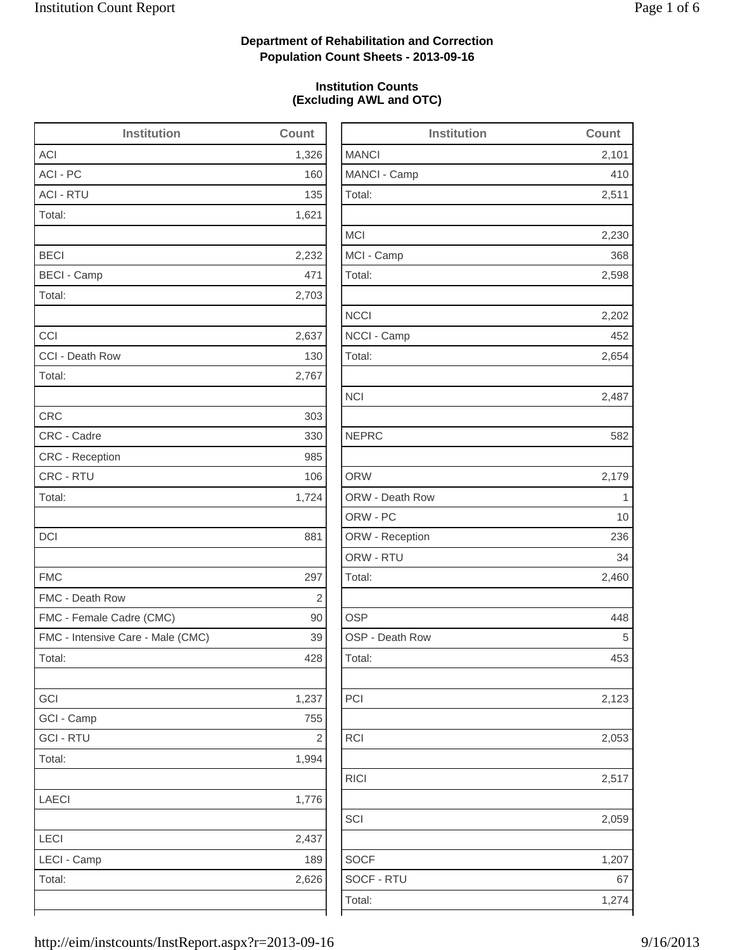2,230

2,598

2,202

2,654

2,487

2,179

2,460

2,123

2,053

2,517

### **Department of Rehabilitation and Correction Population Count Sheets - 2013-09-16**

### **Institution Counts (Excluding AWL and OTC)**

| <b>Institution</b>                | Count        | <b>Institution</b> | Count        |
|-----------------------------------|--------------|--------------------|--------------|
| <b>ACI</b>                        | 1,326        | <b>MANCI</b>       | 2,101        |
| ACI - PC                          | 160          | MANCI - Camp       | 410          |
| <b>ACI - RTU</b>                  | 135          | Total:             | 2,511        |
| Total:                            | 1,621        |                    |              |
|                                   |              | <b>MCI</b>         | 2,230        |
| <b>BECI</b>                       | 2,232        | MCI - Camp         | 368          |
| <b>BECI - Camp</b>                | 471          | Total:             | 2,598        |
| Total:                            | 2,703        |                    |              |
|                                   |              | <b>NCCI</b>        | 2,202        |
| CCI                               | 2,637        | NCCI - Camp        | 452          |
| CCI - Death Row                   | 130          | Total:             | 2,654        |
| Total:                            | 2,767        |                    |              |
|                                   |              | <b>NCI</b>         | 2,487        |
| <b>CRC</b>                        | 303          |                    |              |
| CRC - Cadre                       | 330          | <b>NEPRC</b>       | 582          |
| CRC - Reception                   | 985          |                    |              |
| CRC - RTU                         | 106          | <b>ORW</b>         | 2,179        |
| Total:                            | 1,724        | ORW - Death Row    | $\mathbf{1}$ |
|                                   |              | ORW - PC           | 10           |
| <b>DCI</b>                        | 881          | ORW - Reception    | 236          |
|                                   |              | ORW - RTU          | 34           |
| <b>FMC</b>                        | 297          | Total:             | 2,460        |
| FMC - Death Row                   | $\mathbf 2$  |                    |              |
| FMC - Female Cadre (CMC)          | 90           | <b>OSP</b>         | 448          |
| FMC - Intensive Care - Male (CMC) | 39           | OSP - Death Row    | 5            |
| Total:                            | 428          | Total:             | 453          |
| GCI                               | 1,237        | PCI                | 2,123        |
| GCI - Camp                        | 755          |                    |              |
| <b>GCI - RTU</b>                  | $\mathbf{2}$ | RCI                | 2,053        |
| Total:                            | 1,994        |                    |              |
|                                   |              | <b>RICI</b>        | 2,517        |
| LAECI                             | 1,776        |                    |              |
|                                   |              | SCI                | 2,059        |
| LECI                              | 2,437        |                    |              |
| LECI - Camp                       | 189          | <b>SOCF</b>        | 1,207        |
| Total:                            | 2,626        | SOCF - RTU         | 67           |
|                                   |              | Total:             | 1,274        |
|                                   |              |                    |              |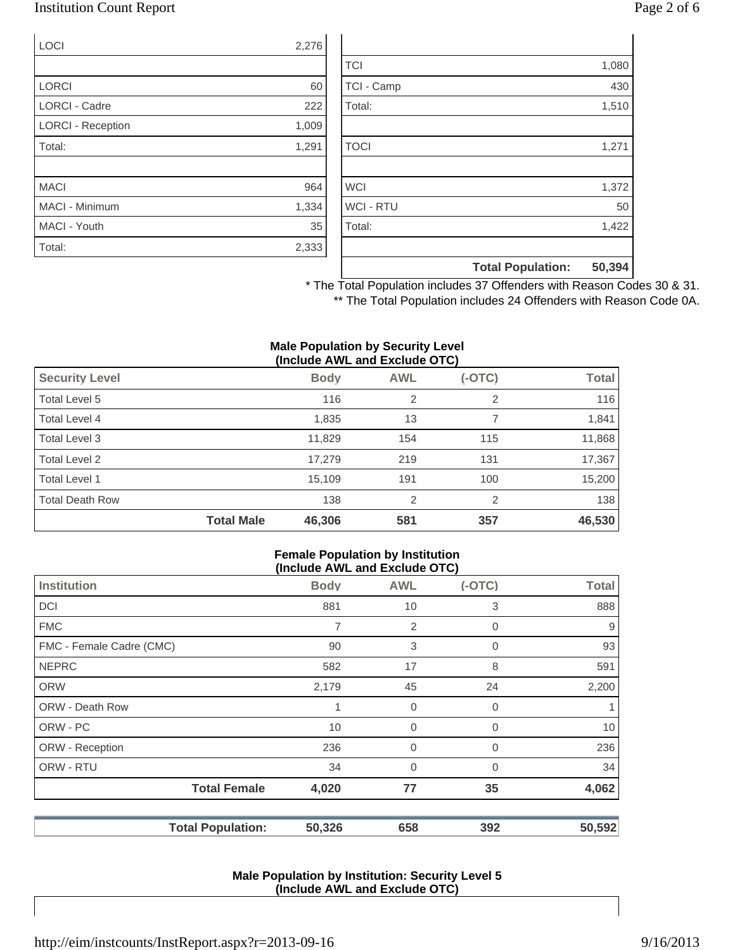### Institution Count Report Page 2 of 6

| LOCI                     | 2,276 |
|--------------------------|-------|
|                          |       |
| <b>LORCI</b>             | 60    |
| LORCI - Cadre            | 222   |
| <b>LORCI - Reception</b> | 1,009 |
| Total:                   | 1,291 |
|                          |       |
| <b>MACI</b>              | 964   |
| MACI - Minimum           | 1,334 |
| MACI - Youth             | 35    |
| Total:                   | 2,333 |

|                  | <b>Total Population:</b> | 50,394 |
|------------------|--------------------------|--------|
|                  |                          |        |
| Total:           |                          | 1,422  |
| <b>WCI - RTU</b> |                          | 50     |
| <b>WCI</b>       |                          | 1,372  |
|                  |                          |        |
| <b>TOCI</b>      |                          | 1,271  |
|                  |                          |        |
| Total:           |                          | 1,510  |
| TCI - Camp       |                          | 430    |
| <b>TCI</b>       |                          | 1,080  |

\* The Total Population includes 37 Offenders with Reason Codes 30 & 31. \*\* The Total Population includes 24 Offenders with Reason Code 0A.

#### **Male Population by Security Level (Include AWL and Exclude OTC)**

| <b>Security Level</b>  |                   | <b>Body</b> | <b>AWL</b>     | $(-OTC)$ | Total  |
|------------------------|-------------------|-------------|----------------|----------|--------|
| Total Level 5          |                   | 116         | $\overline{2}$ | 2        | 116    |
| <b>Total Level 4</b>   |                   | 1,835       | 13             |          | 1,841  |
| Total Level 3          |                   | 11.829      | 154            | 115      | 11,868 |
| Total Level 2          |                   | 17,279      | 219            | 131      | 17,367 |
| Total Level 1          |                   | 15,109      | 191            | 100      | 15,200 |
| <b>Total Death Row</b> |                   | 138         | $\overline{2}$ | 2        | 138    |
|                        | <b>Total Male</b> | 46,306      | 581            | 357      | 46,530 |

#### **Female Population by Institution (Include AWL and Exclude OTC)**

| $(1.01840)$ $(1.116)$ $(2.01840)$ $(3.01)$ |             |                |          |        |  |
|--------------------------------------------|-------------|----------------|----------|--------|--|
| Institution                                | <b>Body</b> | <b>AWL</b>     | $(-OTC)$ | Total  |  |
| <b>DCI</b>                                 | 881         | 10             | 3        | 888    |  |
| <b>FMC</b>                                 | 7           | $\overline{2}$ | 0        | 9      |  |
| FMC - Female Cadre (CMC)                   | 90          | 3              | 0        | 93     |  |
| <b>NEPRC</b>                               | 582         | 17             | 8        | 591    |  |
| <b>ORW</b>                                 | 2,179       | 45             | 24       | 2,200  |  |
| <b>ORW - Death Row</b>                     |             | 0              | 0        |        |  |
| ORW - PC                                   | 10          | $\mathbf 0$    | 0        | 10     |  |
| ORW - Reception                            | 236         | $\mathbf 0$    | 0        | 236    |  |
| ORW - RTU                                  | 34          | $\overline{0}$ | $\Omega$ | 34     |  |
| <b>Total Female</b>                        | 4,020       | 77             | 35       | 4,062  |  |
| <b>Total Population:</b>                   | 50,326      | 658            | 392      | 50,592 |  |

#### **Male Population by Institution: Security Level 5 (Include AWL and Exclude OTC)**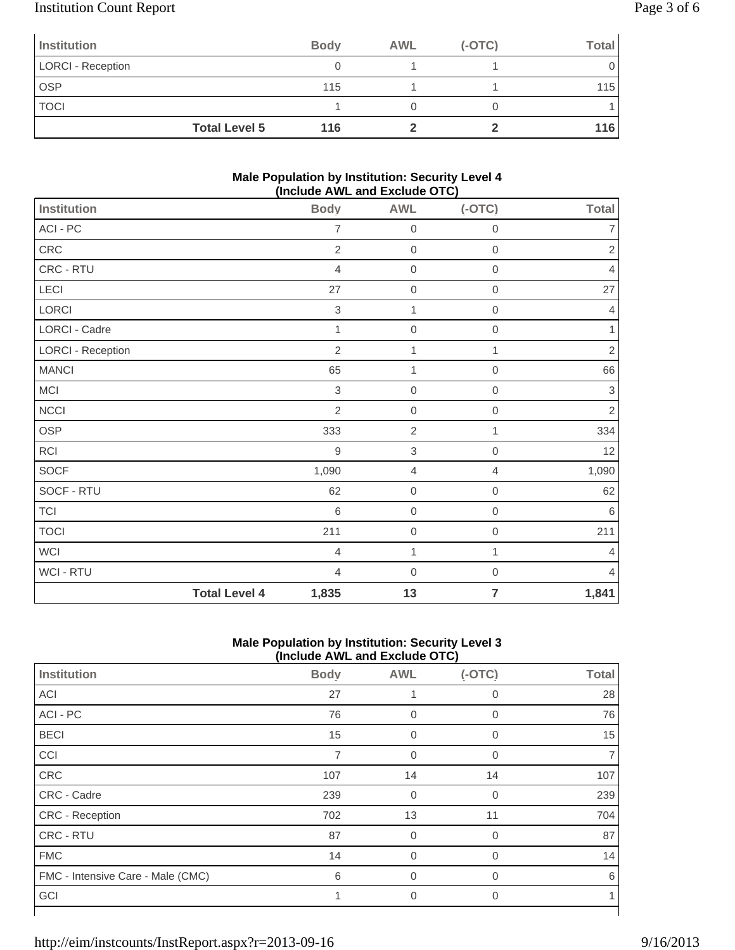# Institution Count Report Page 3 of 6

| Institution              |                      | <b>Body</b> | <b>AWL</b> | $(-OTC)$ | Total |
|--------------------------|----------------------|-------------|------------|----------|-------|
| <b>LORCI - Reception</b> |                      |             |            |          |       |
| <b>OSP</b>               |                      | 115         |            |          | 115   |
| <b>TOCI</b>              |                      |             |            |          |       |
|                          | <b>Total Level 5</b> | 116         |            |          | 116   |

### **Male Population by Institution: Security Level 4 (Include AWL and Exclude OTC)**

| <b>Institution</b>       | .                    | <b>Body</b>    | -- - - - ,<br><b>AWL</b> | $(-OTC)$         | <b>Total</b>   |
|--------------------------|----------------------|----------------|--------------------------|------------------|----------------|
| ACI - PC                 |                      | $\overline{7}$ | $\mathbf 0$              | $\boldsymbol{0}$ | $\overline{7}$ |
| CRC                      |                      | $\overline{2}$ | $\mathbf 0$              | $\,0\,$          | $\overline{2}$ |
| CRC - RTU                |                      | $\overline{4}$ | $\mathbf 0$              | $\,0\,$          | $\overline{4}$ |
| LECI                     |                      | 27             | $\mathbf 0$              | $\,0\,$          | 27             |
| LORCI                    |                      | $\sqrt{3}$     | $\mathbf{1}$             | $\boldsymbol{0}$ | $\overline{4}$ |
| LORCI - Cadre            |                      | 1              | $\mathbf 0$              | $\mathbf 0$      | 1              |
| <b>LORCI - Reception</b> |                      | $\overline{2}$ | 1                        | 1                | $\mathbf{2}$   |
| <b>MANCI</b>             |                      | 65             | $\mathbf{1}$             | $\boldsymbol{0}$ | 66             |
| MCI                      |                      | $\sqrt{3}$     | $\mathbf 0$              | $\mathbf 0$      | 3              |
| <b>NCCI</b>              |                      | $\overline{2}$ | $\mathbf 0$              | $\mathbf 0$      | $\mathbf{2}$   |
| OSP                      |                      | 333            | $\sqrt{2}$               | 1                | 334            |
| <b>RCI</b>               |                      | $9\,$          | $\,$ 3 $\,$              | $\mathbf 0$      | 12             |
| SOCF                     |                      | 1,090          | 4                        | $\overline{4}$   | 1,090          |
| SOCF - RTU               |                      | 62             | $\overline{0}$           | $\mathbf{0}$     | 62             |
| <b>TCI</b>               |                      | 6              | $\overline{0}$           | $\boldsymbol{0}$ | 6              |
| <b>TOCI</b>              |                      | 211            | $\mathbf 0$              | $\boldsymbol{0}$ | 211            |
| <b>WCI</b>               |                      | $\overline{4}$ | $\mathbf{1}$             | 1                | $\overline{4}$ |
| WCI - RTU                |                      | $\overline{4}$ | $\boldsymbol{0}$         | 0                | 4              |
|                          | <b>Total Level 4</b> | 1,835          | 13                       | 7                | 1,841          |

### **Male Population by Institution: Security Level 3 (Include AWL and Exclude OTC)**

| $(1101440)$ and the thoration of $\sigma$ |             |                |                |              |  |
|-------------------------------------------|-------------|----------------|----------------|--------------|--|
| Institution                               | <b>Body</b> | <b>AWL</b>     | $(-OTC)$       | <b>Total</b> |  |
| <b>ACI</b>                                | 27          |                | 0              | 28           |  |
| ACI - PC                                  | 76          | 0              | $\mathbf 0$    | 76           |  |
| <b>BECI</b>                               | 15          | $\mathbf 0$    | $\mathbf 0$    | 15           |  |
| CCI                                       | 7           | $\mathbf 0$    | $\overline{0}$ |              |  |
| CRC                                       | 107         | 14             | 14             | 107          |  |
| CRC - Cadre                               | 239         | $\mathbf 0$    | $\mathbf 0$    | 239          |  |
| CRC - Reception                           | 702         | 13             | 11             | 704          |  |
| CRC - RTU                                 | 87          | $\Omega$       | $\Omega$       | 87           |  |
| <b>FMC</b>                                | 14          | $\overline{0}$ | $\overline{0}$ | 14           |  |
| FMC - Intensive Care - Male (CMC)         | 6           | $\mathbf 0$    | $\overline{0}$ | 6            |  |
| GCI                                       |             | 0              | $\Omega$       |              |  |
|                                           |             |                |                |              |  |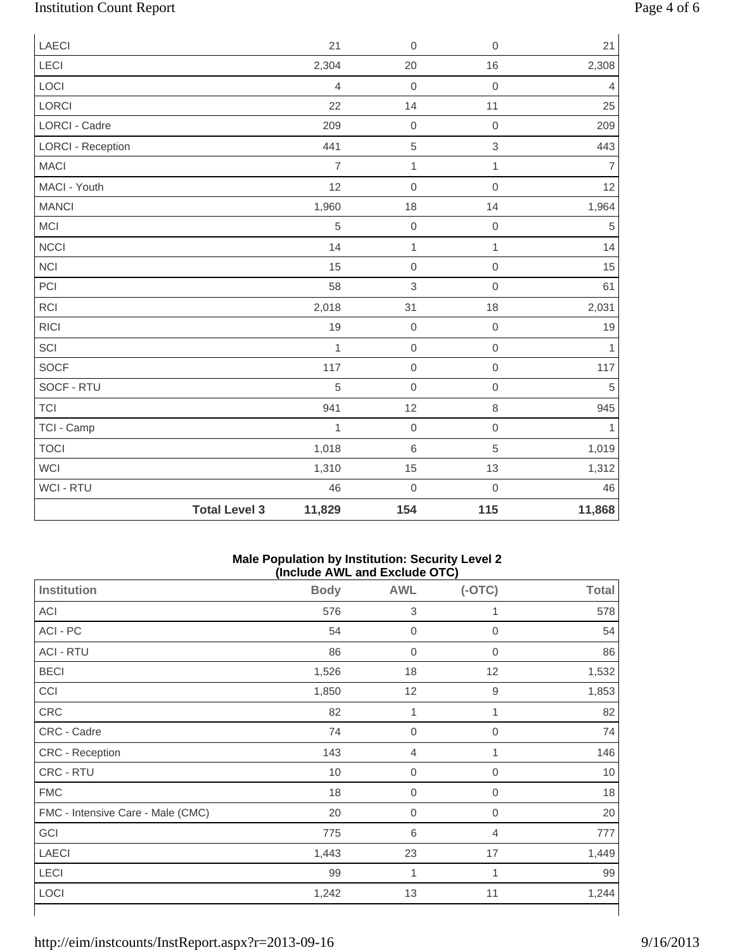# Institution Count Report Page 4 of 6

| <b>LAECI</b>             |                      | 21             | $\mathbf 0$      | $\mathbf 0$         | 21             |
|--------------------------|----------------------|----------------|------------------|---------------------|----------------|
| LECI                     |                      | 2,304          | 20               | 16                  | 2,308          |
| LOCI                     |                      | $\overline{4}$ | $\mathbf 0$      | $\mathbf 0$         | 4              |
| LORCI                    |                      | 22             | 14               | 11                  | 25             |
| <b>LORCI - Cadre</b>     |                      | 209            | $\boldsymbol{0}$ | $\mathbf 0$         | 209            |
| <b>LORCI - Reception</b> |                      | 441            | 5                | $\mathfrak{S}$      | 443            |
| <b>MACI</b>              |                      | $\overline{7}$ | $\mathbf{1}$     | $\mathbf{1}$        | $\overline{7}$ |
| MACI - Youth             |                      | 12             | $\mathbf 0$      | $\mathbf 0$         | 12             |
| <b>MANCI</b>             |                      | 1,960          | 18               | 14                  | 1,964          |
| <b>MCI</b>               |                      | 5              | $\mbox{O}$       | $\mathbf 0$         | $\,$ 5 $\,$    |
| <b>NCCI</b>              |                      | 14             | $\mathbf{1}$     | $\mathbf{1}$        | 14             |
| <b>NCI</b>               |                      | 15             | $\mbox{O}$       | $\mathsf{O}\xspace$ | 15             |
| PCI                      |                      | 58             | 3                | $\mathbf 0$         | 61             |
| <b>RCI</b>               |                      | 2,018          | 31               | 18                  | 2,031          |
| <b>RICI</b>              |                      | 19             | $\boldsymbol{0}$ | $\mbox{O}$          | 19             |
| SCI                      |                      | $\mathbf{1}$   | $\mathbf 0$      | $\mathbf 0$         | $\mathbf{1}$   |
| <b>SOCF</b>              |                      | 117            | $\mathbf 0$      | $\mathsf{O}\xspace$ | 117            |
| SOCF - RTU               |                      | 5              | $\mathbf 0$      | $\mathbf 0$         | $\sqrt{5}$     |
| <b>TCI</b>               |                      | 941            | 12               | $\,8\,$             | 945            |
| TCI - Camp               |                      | $\mathbf{1}$   | $\mathbf 0$      | $\mathbf 0$         | 1              |
| <b>TOCI</b>              |                      | 1,018          | $\,$ 6 $\,$      | $\,$ 5 $\,$         | 1,019          |
| <b>WCI</b>               |                      | 1,310          | 15               | 13                  | 1,312          |
| WCI - RTU                |                      | 46             | $\mathbf 0$      | $\mathbf 0$         | 46             |
|                          | <b>Total Level 3</b> | 11,829         | 154              | 115                 | 11,868         |

### **Male Population by Institution: Security Level 2 (Include AWL and Exclude OTC)**

|                                   | .           |                           |                     |              |
|-----------------------------------|-------------|---------------------------|---------------------|--------------|
| <b>Institution</b>                | <b>Body</b> | <b>AWL</b>                | $(-OTC)$            | <b>Total</b> |
| ACI                               | 576         | $\ensuremath{\mathsf{3}}$ | 1                   | 578          |
| ACI - PC                          | 54          | $\boldsymbol{0}$          | $\boldsymbol{0}$    | 54           |
| <b>ACI - RTU</b>                  | 86          | $\boldsymbol{0}$          | $\boldsymbol{0}$    | 86           |
| <b>BECI</b>                       | 1,526       | 18                        | 12                  | 1,532        |
| CCI                               | 1,850       | 12                        | $\boldsymbol{9}$    | 1,853        |
| CRC                               | 82          | 1                         | 1                   | 82           |
| CRC - Cadre                       | 74          | $\boldsymbol{0}$          | $\mathsf{O}\xspace$ | 74           |
| CRC - Reception                   | 143         | $\overline{4}$            | 1                   | 146          |
| CRC - RTU                         | 10          | $\boldsymbol{0}$          | 0                   | 10           |
| <b>FMC</b>                        | 18          | $\mathbf 0$               | 0                   | 18           |
| FMC - Intensive Care - Male (CMC) | 20          | $\boldsymbol{0}$          | $\overline{0}$      | 20           |
| GCI                               | 775         | $\,6$                     | 4                   | 777          |
| <b>LAECI</b>                      | 1,443       | 23                        | 17                  | 1,449        |
| LECI                              | 99          | 1                         | 1                   | 99           |
| LOCI                              | 1,242       | 13                        | 11                  | 1,244        |
|                                   |             |                           |                     |              |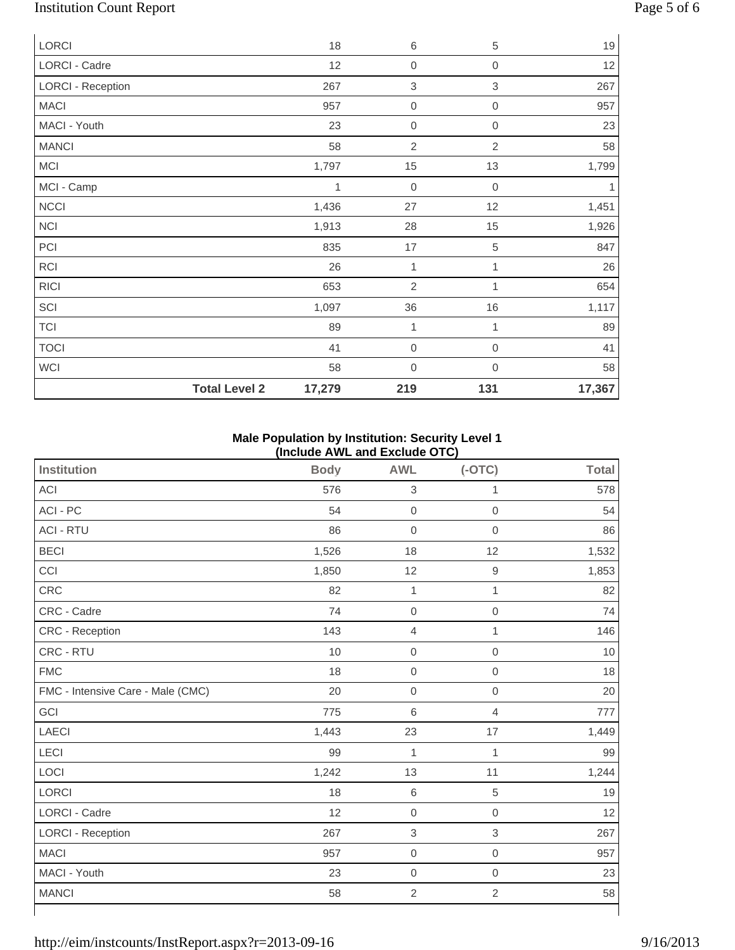# Institution Count Report Page 5 of 6

| LORCI                    |                      | 18     | 6              | 5                | 19     |
|--------------------------|----------------------|--------|----------------|------------------|--------|
| LORCI - Cadre            |                      | 12     | $\mathbf 0$    | $\mathbf 0$      | 12     |
| <b>LORCI - Reception</b> |                      | 267    | $\,$ 3 $\,$    | 3                | 267    |
| <b>MACI</b>              |                      | 957    | $\mathbf 0$    | $\boldsymbol{0}$ | 957    |
| MACI - Youth             |                      | 23     | $\mathbf 0$    | $\mathbf 0$      | 23     |
| <b>MANCI</b>             |                      | 58     | $\overline{c}$ | $\overline{2}$   | 58     |
| MCI                      |                      | 1,797  | 15             | 13               | 1,799  |
| MCI - Camp               |                      | 1      | $\mathbf 0$    | $\mathbf 0$      |        |
| <b>NCCI</b>              |                      | 1,436  | 27             | 12               | 1,451  |
| NCI                      |                      | 1,913  | 28             | 15               | 1,926  |
| PCI                      |                      | 835    | 17             | $\,$ 5 $\,$      | 847    |
| RCI                      |                      | 26     | 1              | 1                | 26     |
| <b>RICI</b>              |                      | 653    | $\overline{2}$ | 1                | 654    |
| SCI                      |                      | 1,097  | 36             | 16               | 1,117  |
| <b>TCI</b>               |                      | 89     | 1              | 1                | 89     |
| <b>TOCI</b>              |                      | 41     | $\mathbf 0$    | $\boldsymbol{0}$ | 41     |
| <b>WCI</b>               |                      | 58     | $\mathbf 0$    | $\mathbf 0$      | 58     |
|                          | <b>Total Level 2</b> | 17,279 | 219            | 131              | 17,367 |

### **Male Population by Institution: Security Level 1 (Include AWL and Exclude OTC)**

| <b>Institution</b>                | <b>Body</b> | <b>AWL</b>     | $(-OTC)$            | <b>Total</b> |
|-----------------------------------|-------------|----------------|---------------------|--------------|
| ACI                               | 576         | $\,$ 3 $\,$    | 1                   | 578          |
| ACI - PC                          | 54          | $\mathbf 0$    | $\boldsymbol{0}$    | 54           |
| <b>ACI - RTU</b>                  | 86          | $\mathbf 0$    | $\mathbf 0$         | 86           |
| <b>BECI</b>                       | 1,526       | 18             | 12                  | 1,532        |
| CCI                               | 1,850       | 12             | $\boldsymbol{9}$    | 1,853        |
| CRC                               | 82          | $\mathbf 1$    | $\mathbf{1}$        | 82           |
| CRC - Cadre                       | 74          | $\mathbf 0$    | $\mbox{O}$          | 74           |
| CRC - Reception                   | 143         | $\overline{4}$ | $\mathbf{1}$        | 146          |
| CRC - RTU                         | 10          | $\mbox{O}$     | $\mathbf 0$         | 10           |
| <b>FMC</b>                        | 18          | $\mathbf 0$    | $\mathbf 0$         | 18           |
| FMC - Intensive Care - Male (CMC) | 20          | $\mbox{O}$     | $\mathbf 0$         | 20           |
| GCI                               | 775         | $\,$ 6         | $\overline{4}$      | 777          |
| <b>LAECI</b>                      | 1,443       | 23             | 17                  | 1,449        |
| LECI                              | 99          | $\mathbf{1}$   | 1                   | 99           |
| LOCI                              | 1,242       | 13             | 11                  | 1,244        |
| LORCI                             | 18          | $\,6$          | 5                   | 19           |
| LORCI - Cadre                     | 12          | $\mathbf 0$    | $\mathsf{O}\xspace$ | 12           |
| <b>LORCI - Reception</b>          | 267         | $\,$ 3 $\,$    | $\,$ 3 $\,$         | 267          |
| <b>MACI</b>                       | 957         | $\mathbf 0$    | $\mathbf 0$         | 957          |
| MACI - Youth                      | 23          | $\mbox{O}$     | $\,0\,$             | 23           |
| <b>MANCI</b>                      | 58          | $\sqrt{2}$     | $\mathbf 2$         | 58           |